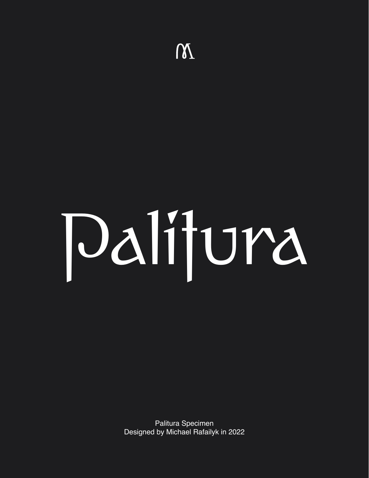

Palitura Specimen Designed by Michael Rafailyk in 2022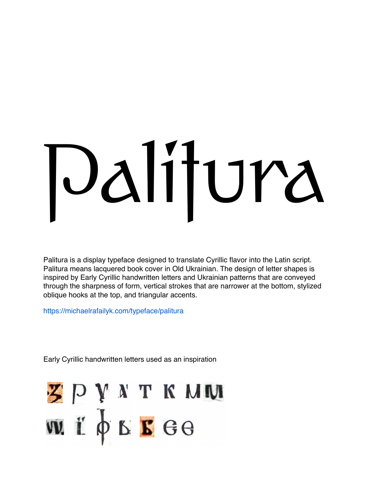# Palitura

Palitura is a display typeface designed to translate Cyrillic flavor into the Latin script. Palitura means lacquered book cover in Old Ukrainian. The design of letter shapes is inspired by Early Cyrillic handwritten letters and Ukrainian patterns that are conveyed through the sharpness of form, vertical strokes that are narrower at the bottom, stylized oblique hooks at the top, and triangular accents.

https://michaelrafailyk.com/typeface/palitura

Early Cyrillic handwritten letters used as an inspiration

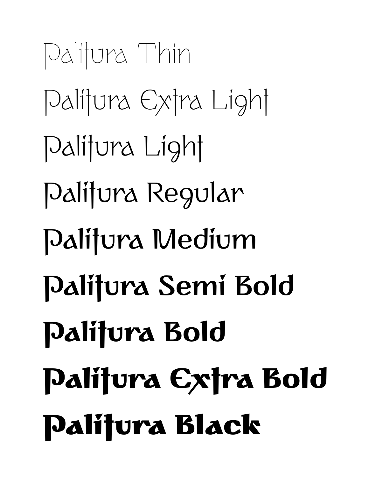Palitura Thin Palitura Extra Light Palitura Light Palitura Regular Palitura Medium **Palitura Semi Bold Palitura Bold Palitura Extra Bold** Palitura Black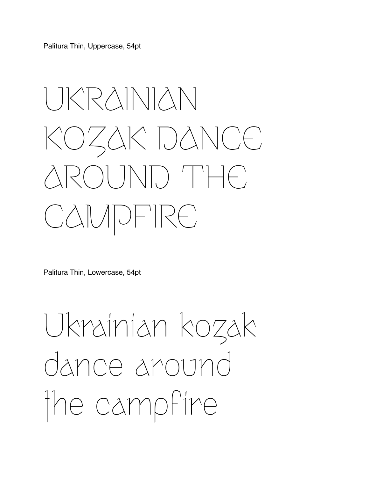Palitura Thin, Uppercase, 54pt

# UKRAINIAN KOZAK DANCE AROUND THE CAMPFIRE

Palitura Thin, Lowercase, 54pt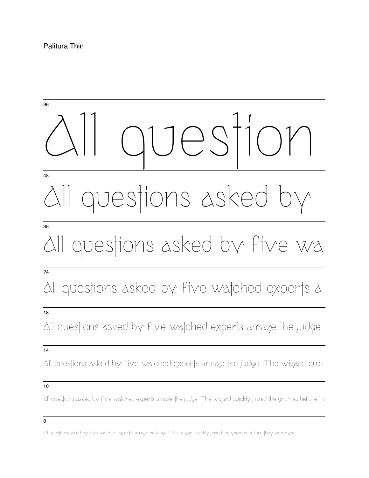### All question questions asked 96 48 All questions asked by five wa 36 All questions asked by five watched experts a 24 18

All questions asked by five watched experts amaze the judge.

#### 14

All questions asked by five watched experts amaze the judge. The wizard quic

#### 10

All questions asked by five watched experts amaze the judge. The wizard quickly jinxed the gnomes before th

8

All questions asked by five watched experts amaze the judge. The wizard quickly jinxed the gnomes before they vaporized.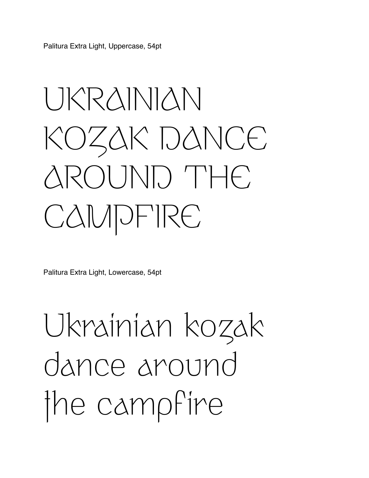Palitura Extra Light, Uppercase, 54pt

# UKRAINIAN KOZAK DANCE AROUND THE CAMPFIRE

Palitura Extra Light, Lowercase, 54pt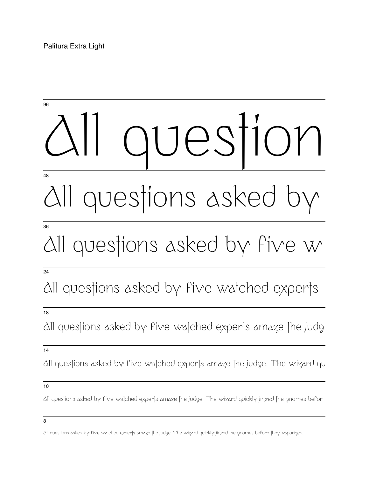### Jes<sup>i</sup> All questions asked by 96 48 All questions asked by five w 36

#### 24

### All questions asked by five watched experts

#### 18

All questions asked by five watched experts amaze the judg

#### 14

All questions asked by five watched experts amaze the judge. The wizard qu

#### 10

All questions asked by five watched experts amaze the judge. The wizard quickly jinxed the gnomes befor

All questions asked by five watched experts amaze the judge. The wizard quickly jinxed the gnomes before they vaporized.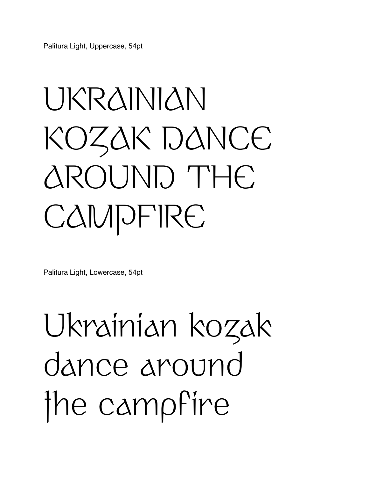Palitura Light, Uppercase, 54pt

# UKRAINIAN KOZAK DANCE AROUND THE **CAMPFIRE**

Palitura Light, Lowercase, 54pt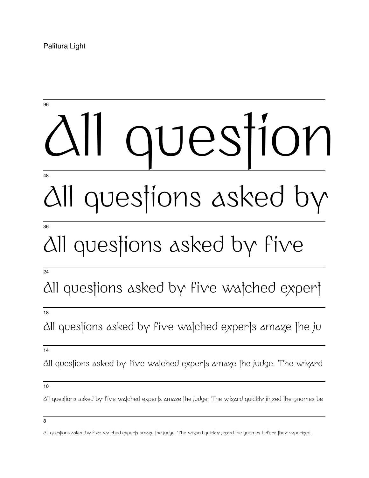Palitura Light

# All question 96 48

# questions asked by

#### 36

### All questions asked by five

#### 24

### All questions asked by five watched expert

#### 18

All questions asked by five watched experts amaze the ju

#### 14

All questions asked by five watched experts amaze the judge. The wizard

#### 10

All questions asked by five watched experts amaze the judge. The wizard quickly jinxed the gnomes be

All questions asked by five watched experts amaze the judge. The wizard quickly jinxed the gnomes before they vaporized.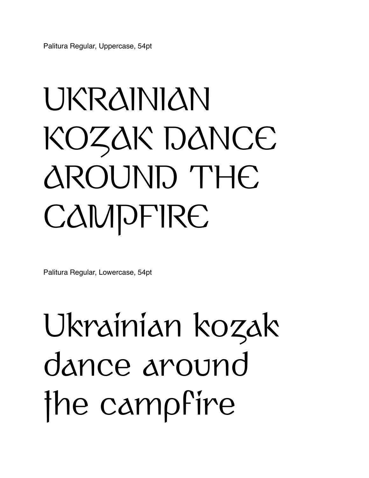Palitura Regular, Uppercase, 54pt

# UKRAINIAN KOZAK DANCE AROUND THE **CAMPFIRE**

Palitura Regular, Lowercase, 54pt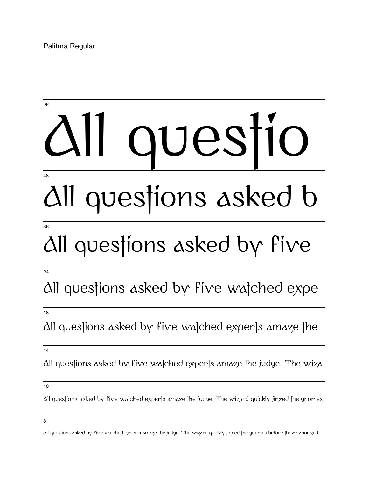Palitura Regular

### es 96 48

# All questions asked b

#### 36

### All questions asked by five

#### 24

### All questions asked by five watched expe

#### 18

All questions asked by five watched experts amaze the

14

All questions asked by five watched experts amaze the judge. The wiza

All questions asked by five watched experts amaze the judge. The wizard quickly jinxed the gnomes

<sup>10</sup>

<sup>8</sup>

All questions asked by five watched experts amaze the judge. The wizard quickly jinxed the gnomes before they vaporized.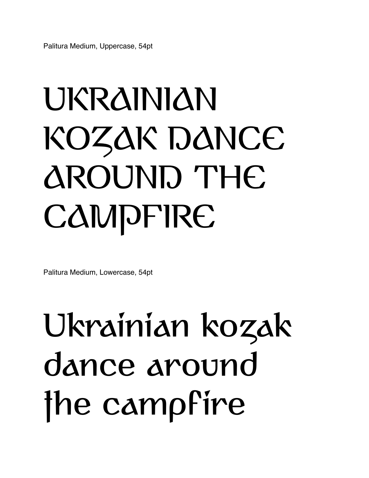Palitura Medium, Uppercase, 54pt

# UKRAINIAN KOZAK DANCE AROUND THE **CAMPFIRE**

Palitura Medium, Lowercase, 54pt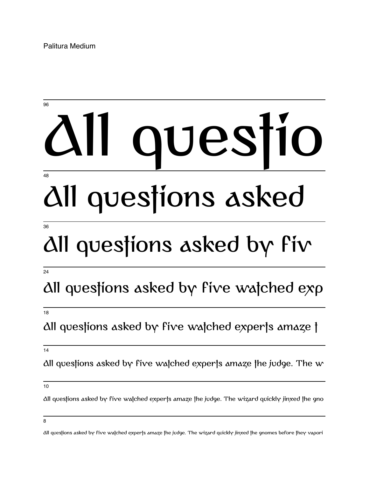Palitura Medium

### All questio All questions asked 96 48

#### 36

### All questions asked by fiv

#### 24

### All questions asked by five watched exp

#### 18

#### All questions asked by five watched experts amaze t

14

All questions asked by five watched experts amaze the judge. The  $w$ 

All questions asked by five watched experts amaze the judge. The wizard quickly jinxed the gno

<sup>10</sup>

All questions asked by five watched experts amaze the judge. The wizard quickly jinxed the gnomes before they vapori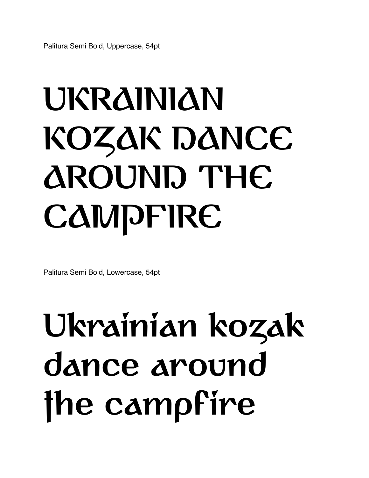# **UKRAINIAN KOZAK DANCE AROUND THE CAMPFIRE**

Palitura Semi Bold, Lowercase, 54pt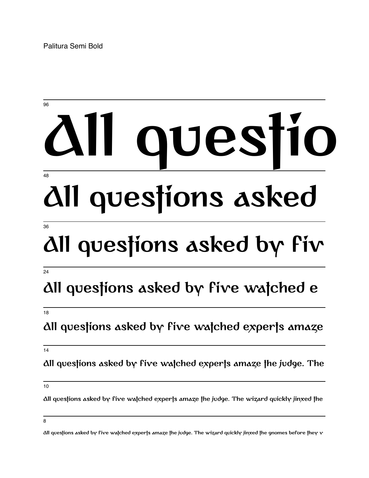Palitura Semi Bold

### **All questio All questions asked** 96 48

#### 36

### **All questions asked by fiv**

#### 24

### **All questions asked by five watched e**

#### 18

#### **All questions asked by five watched experts amaze**

14

**All questions asked by five watched experts amaze the judge. The**

10

**All questions asked by five watched experts amaze the judge. The wizard quickly jinxed the**

**All questions asked by five watched experts amaze the judge. The wizard quickly jinxed the gnomes before they v**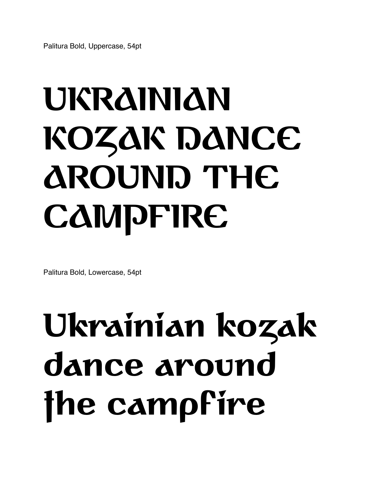# **UKRAINIAN KOZAK DANCE AROUND THE CAMPFIRE**

Palitura Bold, Lowercase, 54pt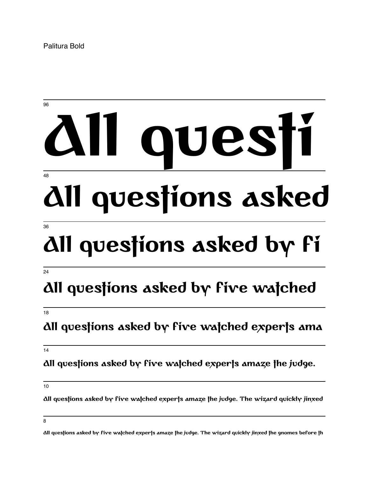Palitura Bold

### **All questi All questions asked** 96 48

#### 36

# **All questions asked by fi**

#### 24

### **All questions asked by five watched**

#### 18

#### **All questions asked by five watched experts ama**

14

**All questions asked by five watched experts amaze the judge.**

10

**All questions asked by five watched experts amaze the judge. The wizard quickly jinxed**

8

**All questions asked by five watched experts amaze the judge. The wizard quickly jinxed the gnomes before th**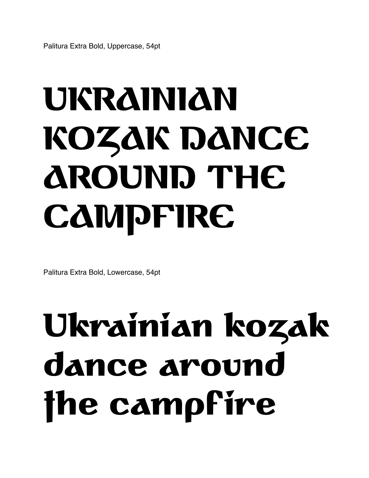# **UKRAINIAN KOZAK DANCE AROUND THE CAMPFIRE**

Palitura Extra Bold, Lowercase, 54pt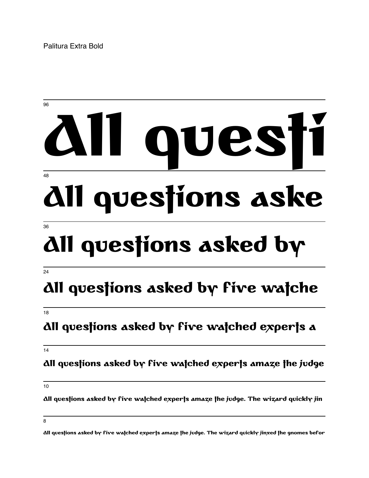Palitura Extra Bold

### **All questi All questions aske** 96 48 **All questions asked by** 36

#### 24

### **All questions asked by five watche**

#### 18

#### **All questions asked by five watched experts a**

14

#### **All questions asked by five watched experts amaze the judge**

10

**All questions asked by five watched experts amaze the judge. The wizard quickly jin**

<sup>8</sup>

**All questions asked by five watched experts amaze the judge. The wizard quickly jinxed the gnomes befor**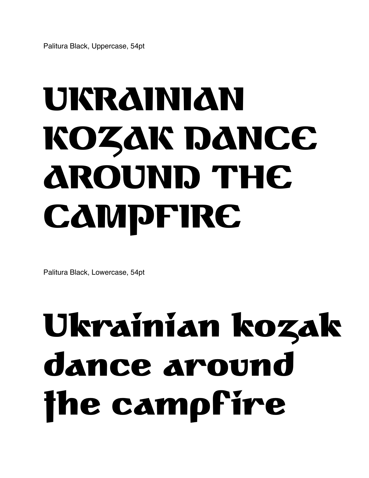# UKRAINIAN KOZAK DANCE AROUND THE **CAMPFIRE**

Palitura Black, Lowercase, 54pt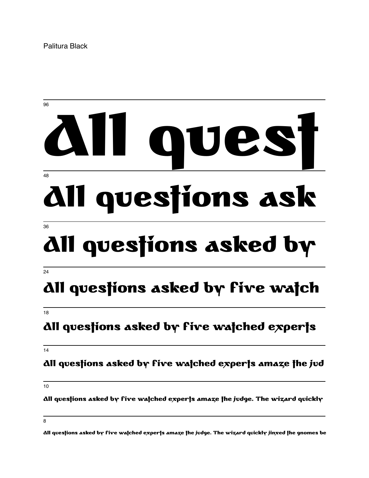Palitura Black



#### 18

#### All questions asked by five watched experts

14

#### All questions asked by five watched experts amaze the jud

10

All questions asked by five watched experts amaze the judge. The wizard quickly

8

All questions asked by five watched experts amaze the judge. The wizard quickly jinxed the gnomes be